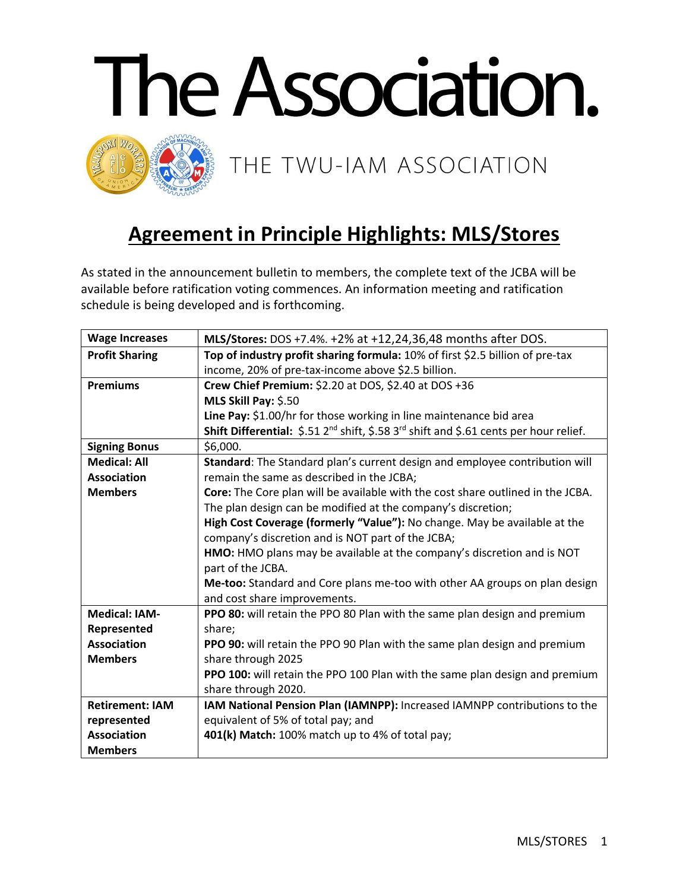

## **Agreement in Principle Highlights: MLS/Stores**

As stated in the announcement bulletin to members, the complete text of the JCBA will be available before ratification voting commences. An information meeting and ratification schedule is being developed and is forthcoming.

| <b>Wage Increases</b>  | MLS/Stores: DOS +7.4%. +2% at +12,24,36,48 months after DOS.                                                  |
|------------------------|---------------------------------------------------------------------------------------------------------------|
| <b>Profit Sharing</b>  | Top of industry profit sharing formula: 10% of first \$2.5 billion of pre-tax                                 |
|                        | income, 20% of pre-tax-income above \$2.5 billion.                                                            |
| <b>Premiums</b>        | Crew Chief Premium: \$2.20 at DOS, \$2.40 at DOS +36                                                          |
|                        | MLS Skill Pay: \$.50                                                                                          |
|                        | Line Pay: \$1.00/hr for those working in line maintenance bid area                                            |
|                        | Shift Differential: \$.51 2 <sup>nd</sup> shift, \$.58 3 <sup>rd</sup> shift and \$.61 cents per hour relief. |
| <b>Signing Bonus</b>   | \$6,000.                                                                                                      |
| <b>Medical: All</b>    | Standard: The Standard plan's current design and employee contribution will                                   |
| <b>Association</b>     | remain the same as described in the JCBA;                                                                     |
| <b>Members</b>         | Core: The Core plan will be available with the cost share outlined in the JCBA.                               |
|                        | The plan design can be modified at the company's discretion;                                                  |
|                        | High Cost Coverage (formerly "Value"): No change. May be available at the                                     |
|                        | company's discretion and is NOT part of the JCBA;                                                             |
|                        | HMO: HMO plans may be available at the company's discretion and is NOT                                        |
|                        | part of the JCBA.                                                                                             |
|                        | Me-too: Standard and Core plans me-too with other AA groups on plan design                                    |
|                        | and cost share improvements.                                                                                  |
| <b>Medical: IAM-</b>   | PPO 80: will retain the PPO 80 Plan with the same plan design and premium                                     |
| Represented            | share;                                                                                                        |
| <b>Association</b>     | PPO 90: will retain the PPO 90 Plan with the same plan design and premium                                     |
| <b>Members</b>         | share through 2025                                                                                            |
|                        | PPO 100: will retain the PPO 100 Plan with the same plan design and premium                                   |
|                        | share through 2020.                                                                                           |
| <b>Retirement: IAM</b> | IAM National Pension Plan (IAMNPP): Increased IAMNPP contributions to the                                     |
| represented            | equivalent of 5% of total pay; and                                                                            |
| <b>Association</b>     | 401(k) Match: 100% match up to 4% of total pay;                                                               |
| <b>Members</b>         |                                                                                                               |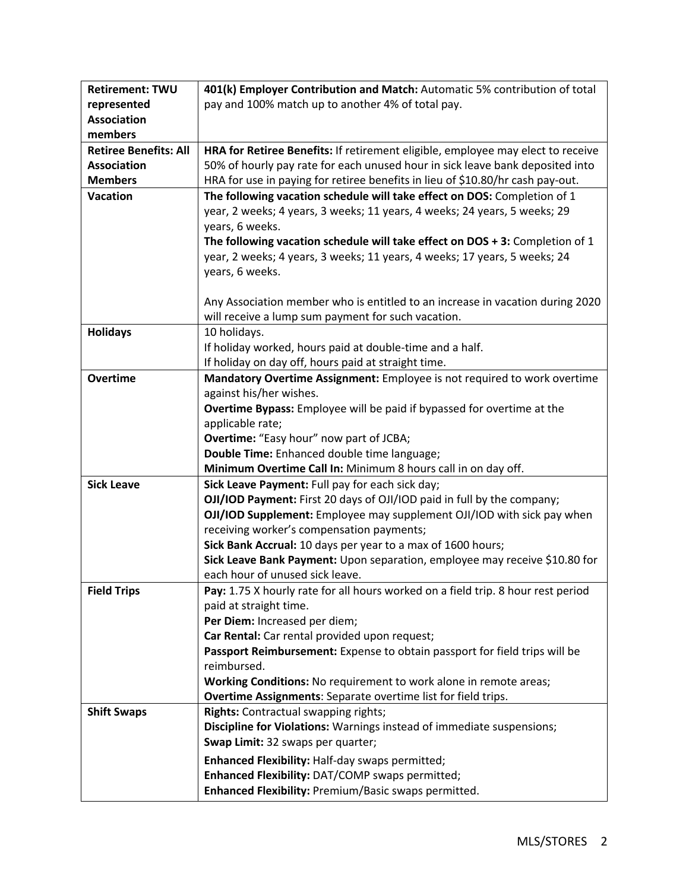| <b>Retirement: TWU</b>       | 401(k) Employer Contribution and Match: Automatic 5% contribution of total                |
|------------------------------|-------------------------------------------------------------------------------------------|
| represented                  | pay and 100% match up to another 4% of total pay.                                         |
| <b>Association</b>           |                                                                                           |
| members                      |                                                                                           |
| <b>Retiree Benefits: All</b> | HRA for Retiree Benefits: If retirement eligible, employee may elect to receive           |
| <b>Association</b>           | 50% of hourly pay rate for each unused hour in sick leave bank deposited into             |
| <b>Members</b>               | HRA for use in paying for retiree benefits in lieu of \$10.80/hr cash pay-out.            |
| <b>Vacation</b>              | The following vacation schedule will take effect on DOS: Completion of 1                  |
|                              | year, 2 weeks; 4 years, 3 weeks; 11 years, 4 weeks; 24 years, 5 weeks; 29                 |
|                              | years, 6 weeks.                                                                           |
|                              | The following vacation schedule will take effect on $DOS + 3$ : Completion of 1           |
|                              | year, 2 weeks; 4 years, 3 weeks; 11 years, 4 weeks; 17 years, 5 weeks; 24                 |
|                              | years, 6 weeks.                                                                           |
|                              |                                                                                           |
|                              | Any Association member who is entitled to an increase in vacation during 2020             |
|                              | will receive a lump sum payment for such vacation.                                        |
| <b>Holidays</b>              | 10 holidays.                                                                              |
|                              | If holiday worked, hours paid at double-time and a half.                                  |
|                              | If holiday on day off, hours paid at straight time.                                       |
| <b>Overtime</b>              | Mandatory Overtime Assignment: Employee is not required to work overtime                  |
|                              | against his/her wishes.                                                                   |
|                              | <b>Overtime Bypass:</b> Employee will be paid if bypassed for overtime at the             |
|                              | applicable rate;                                                                          |
|                              | <b>Overtime:</b> "Easy hour" now part of JCBA;                                            |
|                              | Double Time: Enhanced double time language;                                               |
|                              | Minimum Overtime Call In: Minimum 8 hours call in on day off.                             |
| <b>Sick Leave</b>            | Sick Leave Payment: Full pay for each sick day;                                           |
|                              | OJI/IOD Payment: First 20 days of OJI/IOD paid in full by the company;                    |
|                              | OJI/IOD Supplement: Employee may supplement OJI/IOD with sick pay when                    |
|                              | receiving worker's compensation payments;                                                 |
|                              | Sick Bank Accrual: 10 days per year to a max of 1600 hours;                               |
|                              | Sick Leave Bank Payment: Upon separation, employee may receive \$10.80 for                |
|                              | each hour of unused sick leave.                                                           |
| <b>Field Trips</b>           | Pay: 1.75 X hourly rate for all hours worked on a field trip. 8 hour rest period          |
|                              | paid at straight time.                                                                    |
|                              | Per Diem: Increased per diem;                                                             |
|                              | Car Rental: Car rental provided upon request;                                             |
|                              | Passport Reimbursement: Expense to obtain passport for field trips will be<br>reimbursed. |
|                              | Working Conditions: No requirement to work alone in remote areas;                         |
|                              | Overtime Assignments: Separate overtime list for field trips.                             |
| <b>Shift Swaps</b>           | <b>Rights:</b> Contractual swapping rights;                                               |
|                              | Discipline for Violations: Warnings instead of immediate suspensions;                     |
|                              | Swap Limit: 32 swaps per quarter;                                                         |
|                              |                                                                                           |
|                              | Enhanced Flexibility: Half-day swaps permitted;                                           |
|                              | Enhanced Flexibility: DAT/COMP swaps permitted;                                           |
|                              | Enhanced Flexibility: Premium/Basic swaps permitted.                                      |